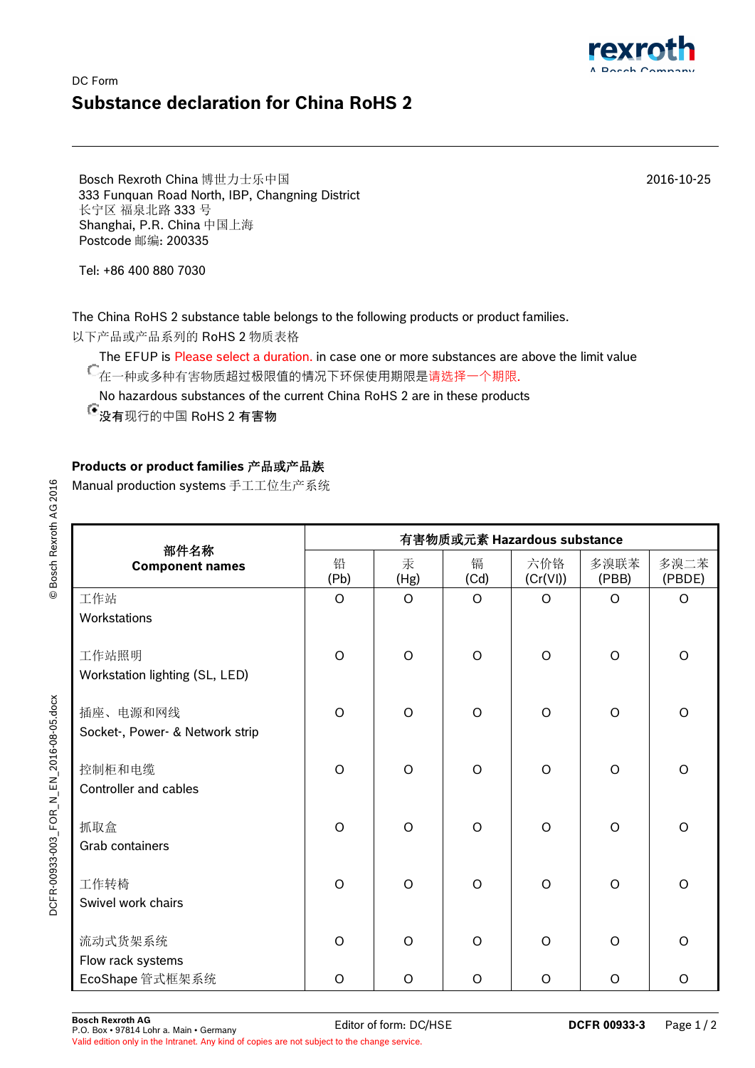## DC Form **Substance declaration for China RoHS 2**

Bosch Rexroth China 博世力士乐中国 333 Funquan Road North, IBP, Changning District 长宁区 福泉北路 333 号 Shanghai, P.R. China 中国上海 Postcode 邮编: 200335

Tel: +86 400 880 7030

The China RoHS 2 substance table belongs to the following products or product families.

以下产品或产品系列的 RoHS 2 物质表格

The EFUP is Please select a duration. in case one or more substances are above the limit value ← .... - - .<br>● 在一种或多种有害物质超过极限值的情况下环保使用期限是请选择一个期限.

No hazardous substances of the current China RoHS 2 are in these products

没有现行的中国 RoHS 2 有害物

## **Products or product families** 产品或产品族

Manual production systems 手工工位生产系统

| 部件名称<br><b>Component names</b>          | 有害物质或元素 Hazardous substance |           |           |                 |               |                |  |  |
|-----------------------------------------|-----------------------------|-----------|-----------|-----------------|---------------|----------------|--|--|
|                                         | 铅<br>(Pb)                   | 汞<br>(Hg) | 镉<br>(Cd) | 六价铬<br>(Cr(VI)) | 多溴联苯<br>(PBB) | 多溴二苯<br>(PBDE) |  |  |
| 工作站                                     | $\circ$                     | $\circ$   | $\circ$   | $\circ$         | O             | $\circ$        |  |  |
| Workstations                            |                             |           |           |                 |               |                |  |  |
| 工作站照明<br>Workstation lighting (SL, LED) | $\circ$                     | $\circ$   | $\circ$   | $\circ$         | $\circ$       | $\circ$        |  |  |
| 插座、电源和网线                                | $\circ$                     | $\circ$   | $\circ$   | $\circ$         | $\circ$       | $\circ$        |  |  |
| Socket-, Power- & Network strip         |                             |           |           |                 |               |                |  |  |
| 控制柜和电缆<br>Controller and cables         | $\Omega$                    | $\circ$   | $\circ$   | $\circ$         | $\circ$       | $\circ$        |  |  |
| 抓取盒                                     | $\Omega$                    | $\circ$   | $\Omega$  | $\circ$         | $\circ$       | $\circ$        |  |  |
| Grab containers                         |                             |           |           |                 |               |                |  |  |
| 工作转椅<br>Swivel work chairs              | $\circ$                     | $\circ$   | $\circ$   | $\circ$         | $\circ$       | $\circ$        |  |  |
| 流动式货架系统                                 | $\circ$                     | $\circ$   | $\circ$   | $\circ$         | $\circ$       | $\circ$        |  |  |
| Flow rack systems                       |                             |           |           |                 |               |                |  |  |
| EcoShape 管式框架系统                         | $\Omega$                    | $\Omega$  | $\Omega$  | O               | O             | $\circ$        |  |  |

2016-10-25